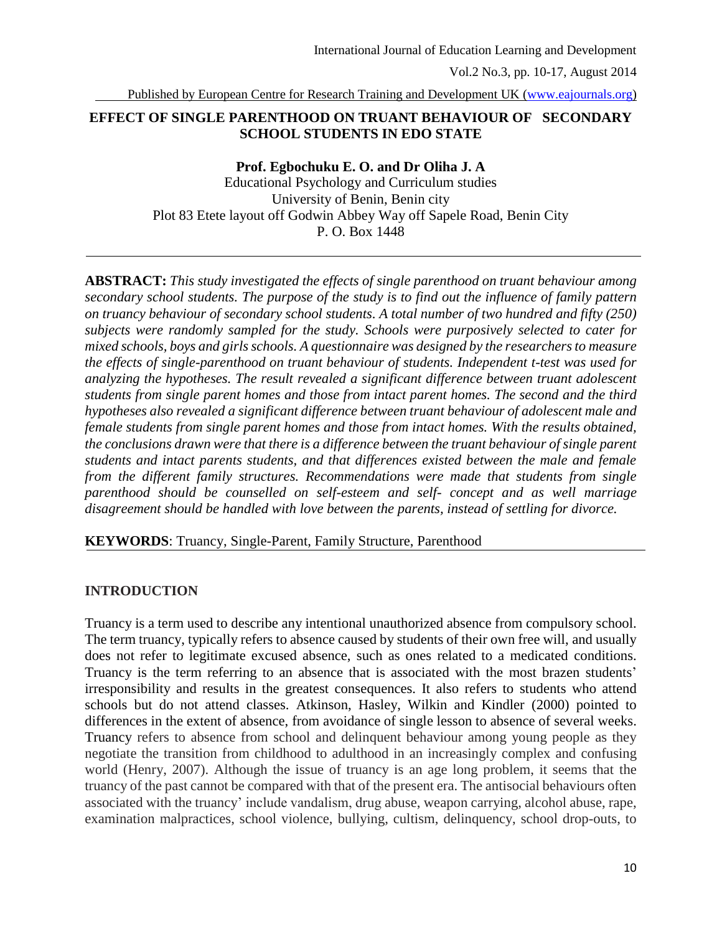Published by European Centre for Research Training and Development UK [\(www.eajournals.org\)](http://www.eajournals.org/)

### **EFFECT OF SINGLE PARENTHOOD ON TRUANT BEHAVIOUR OF SECONDARY SCHOOL STUDENTS IN EDO STATE**

#### **Prof. Egbochuku E. O. and Dr Oliha J. A**

Educational Psychology and Curriculum studies University of Benin, Benin city Plot 83 Etete layout off Godwin Abbey Way off Sapele Road, Benin City P. O. Box 1448

**ABSTRACT:** *This study investigated the effects of single parenthood on truant behaviour among secondary school students. The purpose of the study is to find out the influence of family pattern on truancy behaviour of secondary school students. A total number of two hundred and fifty (250) subjects were randomly sampled for the study. Schools were purposively selected to cater for mixed schools, boys and girls schools. A questionnaire was designed by the researchers to measure the effects of single-parenthood on truant behaviour of students. Independent t-test was used for analyzing the hypotheses. The result revealed a significant difference between truant adolescent students from single parent homes and those from intact parent homes. The second and the third hypotheses also revealed a significant difference between truant behaviour of adolescent male and female students from single parent homes and those from intact homes. With the results obtained, the conclusions drawn were that there is a difference between the truant behaviour of single parent students and intact parents students, and that differences existed between the male and female from the different family structures. Recommendations were made that students from single parenthood should be counselled on self-esteem and self- concept and as well marriage disagreement should be handled with love between the parents, instead of settling for divorce.*

**KEYWORDS**: Truancy, Single-Parent, Family Structure, Parenthood

#### **INTRODUCTION**

Truancy is a term used to describe any intentional unauthorized absence from compulsory school. The term truancy, typically refers to absence caused by students of their own free will, and usually does not refer to legitimate excused absence, such as ones related to a medicated conditions. Truancy is the term referring to an absence that is associated with the most brazen students' irresponsibility and results in the greatest consequences. It also refers to students who attend schools but do not attend classes. Atkinson, Hasley, Wilkin and Kindler (2000) pointed to differences in the extent of absence, from avoidance of single lesson to absence of several weeks. Truancy refers to absence from school and delinquent behaviour among young people as they negotiate the transition from childhood to adulthood in an increasingly complex and confusing world (Henry, 2007). Although the issue of truancy is an age long problem, it seems that the truancy of the past cannot be compared with that of the present era. The antisocial behaviours often associated with the truancy' include vandalism, drug abuse, weapon carrying, alcohol abuse, rape, examination malpractices, school violence, bullying, cultism, delinquency, school drop-outs, to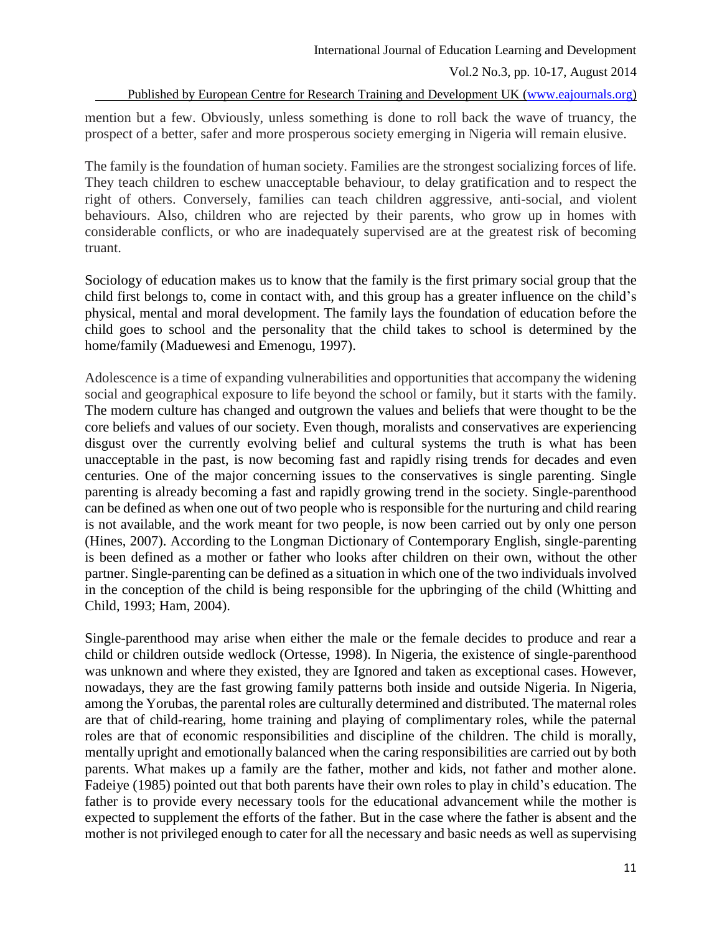Published by European Centre for Research Training and Development UK [\(www.eajournals.org\)](http://www.eajournals.org/)

mention but a few. Obviously, unless something is done to roll back the wave of truancy, the prospect of a better, safer and more prosperous society emerging in Nigeria will remain elusive.

The family is the foundation of human society. Families are the strongest socializing forces of life. They teach children to eschew unacceptable behaviour, to delay gratification and to respect the right of others. Conversely, families can teach children aggressive, anti-social, and violent behaviours. Also, children who are rejected by their parents, who grow up in homes with considerable conflicts, or who are inadequately supervised are at the greatest risk of becoming truant.

Sociology of education makes us to know that the family is the first primary social group that the child first belongs to, come in contact with, and this group has a greater influence on the child's physical, mental and moral development. The family lays the foundation of education before the child goes to school and the personality that the child takes to school is determined by the home/family (Maduewesi and Emenogu, 1997).

Adolescence is a time of expanding vulnerabilities and opportunities that accompany the widening social and geographical exposure to life beyond the school or family, but it starts with the family. The modern culture has changed and outgrown the values and beliefs that were thought to be the core beliefs and values of our society. Even though, moralists and conservatives are experiencing disgust over the currently evolving belief and cultural systems the truth is what has been unacceptable in the past, is now becoming fast and rapidly rising trends for decades and even centuries. One of the major concerning issues to the conservatives is single parenting. Single parenting is already becoming a fast and rapidly growing trend in the society. Single-parenthood can be defined as when one out of two people who is responsible for the nurturing and child rearing is not available, and the work meant for two people, is now been carried out by only one person (Hines, 2007). According to the Longman Dictionary of Contemporary English, single-parenting is been defined as a mother or father who looks after children on their own, without the other partner. Single-parenting can be defined as a situation in which one of the two individuals involved in the conception of the child is being responsible for the upbringing of the child (Whitting and Child, 1993; Ham, 2004).

Single-parenthood may arise when either the male or the female decides to produce and rear a child or children outside wedlock (Ortesse, 1998). In Nigeria, the existence of single-parenthood was unknown and where they existed, they are Ignored and taken as exceptional cases. However, nowadays, they are the fast growing family patterns both inside and outside Nigeria. In Nigeria, among the Yorubas, the parental roles are culturally determined and distributed. The maternal roles are that of child-rearing, home training and playing of complimentary roles, while the paternal roles are that of economic responsibilities and discipline of the children. The child is morally, mentally upright and emotionally balanced when the caring responsibilities are carried out by both parents. What makes up a family are the father, mother and kids, not father and mother alone. Fadeiye (1985) pointed out that both parents have their own roles to play in child's education. The father is to provide every necessary tools for the educational advancement while the mother is expected to supplement the efforts of the father. But in the case where the father is absent and the mother is not privileged enough to cater for all the necessary and basic needs as well as supervising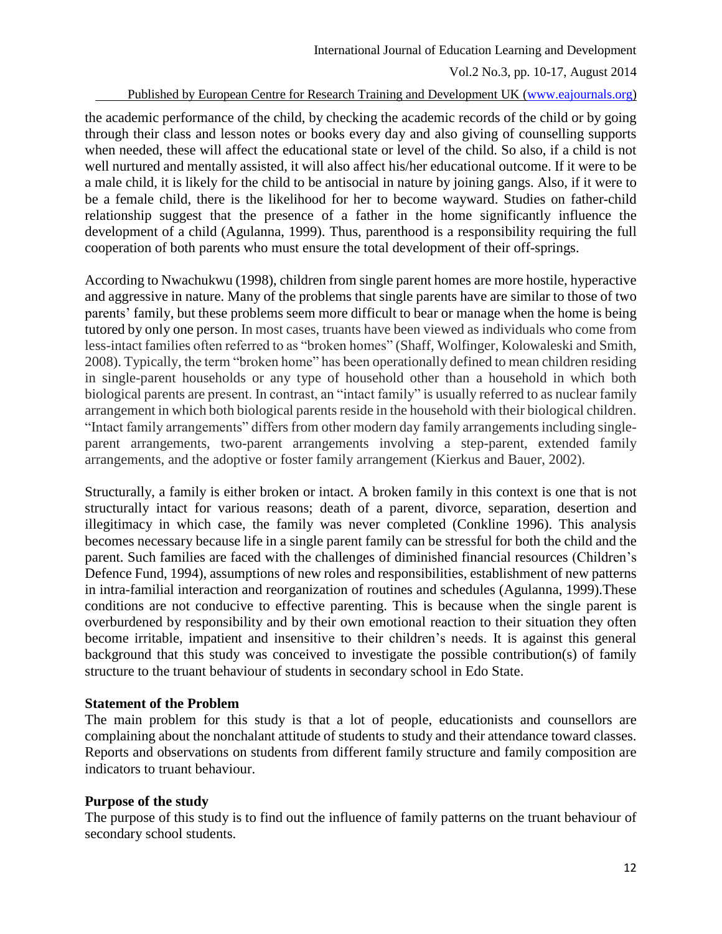#### Published by European Centre for Research Training and Development UK [\(www.eajournals.org\)](http://www.eajournals.org/)

the academic performance of the child, by checking the academic records of the child or by going through their class and lesson notes or books every day and also giving of counselling supports when needed, these will affect the educational state or level of the child. So also, if a child is not well nurtured and mentally assisted, it will also affect his/her educational outcome. If it were to be a male child, it is likely for the child to be antisocial in nature by joining gangs. Also, if it were to be a female child, there is the likelihood for her to become wayward. Studies on father-child relationship suggest that the presence of a father in the home significantly influence the development of a child (Agulanna, 1999). Thus, parenthood is a responsibility requiring the full cooperation of both parents who must ensure the total development of their off-springs.

According to Nwachukwu (1998), children from single parent homes are more hostile, hyperactive and aggressive in nature. Many of the problems that single parents have are similar to those of two parents' family, but these problems seem more difficult to bear or manage when the home is being tutored by only one person. In most cases, truants have been viewed as individuals who come from less-intact families often referred to as "broken homes" (Shaff, Wolfinger, Kolowaleski and Smith, 2008). Typically, the term "broken home" has been operationally defined to mean children residing in single-parent households or any type of household other than a household in which both biological parents are present. In contrast, an "intact family" is usually referred to as nuclear family arrangement in which both biological parents reside in the household with their biological children. "Intact family arrangements" differs from other modern day family arrangements including singleparent arrangements, two-parent arrangements involving a step-parent, extended family arrangements, and the adoptive or foster family arrangement (Kierkus and Bauer, 2002).

Structurally, a family is either broken or intact. A broken family in this context is one that is not structurally intact for various reasons; death of a parent, divorce, separation, desertion and illegitimacy in which case, the family was never completed (Conkline 1996). This analysis becomes necessary because life in a single parent family can be stressful for both the child and the parent. Such families are faced with the challenges of diminished financial resources (Children's Defence Fund, 1994), assumptions of new roles and responsibilities, establishment of new patterns in intra-familial interaction and reorganization of routines and schedules (Agulanna, 1999).These conditions are not conducive to effective parenting. This is because when the single parent is overburdened by responsibility and by their own emotional reaction to their situation they often become irritable, impatient and insensitive to their children's needs. It is against this general background that this study was conceived to investigate the possible contribution(s) of family structure to the truant behaviour of students in secondary school in Edo State.

### **Statement of the Problem**

The main problem for this study is that a lot of people, educationists and counsellors are complaining about the nonchalant attitude of students to study and their attendance toward classes. Reports and observations on students from different family structure and family composition are indicators to truant behaviour.

# **Purpose of the study**

The purpose of this study is to find out the influence of family patterns on the truant behaviour of secondary school students.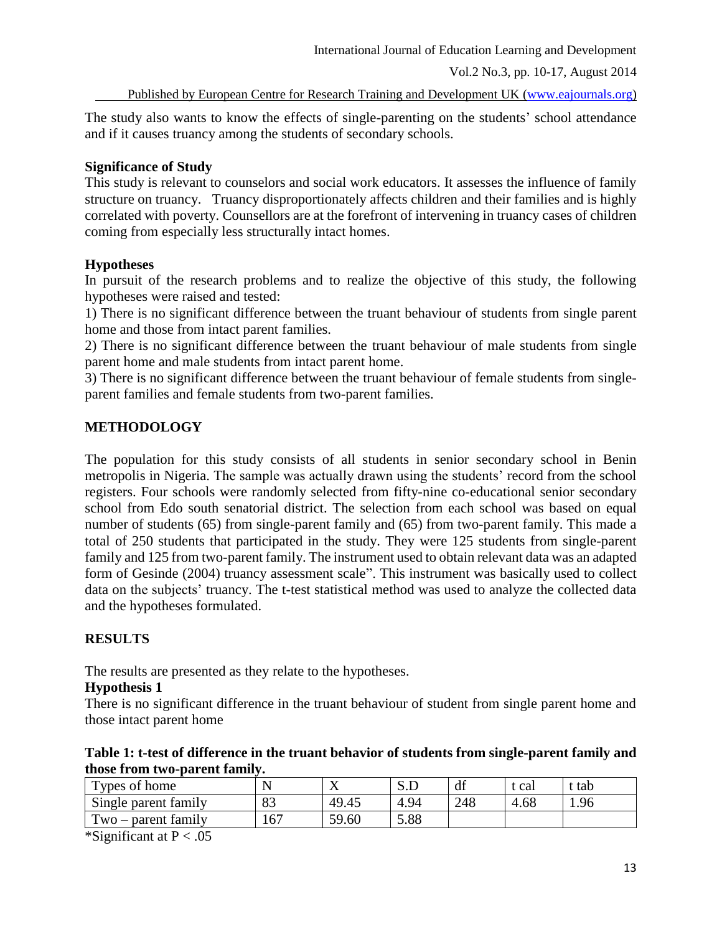Published by European Centre for Research Training and Development UK [\(www.eajournals.org\)](http://www.eajournals.org/)

The study also wants to know the effects of single-parenting on the students' school attendance and if it causes truancy among the students of secondary schools.

### **Significance of Study**

This study is relevant to counselors and social work educators. It assesses the influence of family structure on truancy. Truancy disproportionately affects children and their families and is highly correlated with poverty. Counsellors are at the forefront of intervening in truancy cases of children coming from especially less structurally intact homes.

### **Hypotheses**

In pursuit of the research problems and to realize the objective of this study, the following hypotheses were raised and tested:

1) There is no significant difference between the truant behaviour of students from single parent home and those from intact parent families.

2) There is no significant difference between the truant behaviour of male students from single parent home and male students from intact parent home.

3) There is no significant difference between the truant behaviour of female students from singleparent families and female students from two-parent families.

# **METHODOLOGY**

The population for this study consists of all students in senior secondary school in Benin metropolis in Nigeria. The sample was actually drawn using the students' record from the school registers. Four schools were randomly selected from fifty-nine co-educational senior secondary school from Edo south senatorial district. The selection from each school was based on equal number of students (65) from single-parent family and (65) from two-parent family. This made a total of 250 students that participated in the study. They were 125 students from single-parent family and 125 from two-parent family. The instrument used to obtain relevant data was an adapted form of Gesinde (2004) truancy assessment scale". This instrument was basically used to collect data on the subjects' truancy. The t-test statistical method was used to analyze the collected data and the hypotheses formulated.

# **RESULTS**

The results are presented as they relate to the hypotheses.

### **Hypothesis 1**

There is no significant difference in the truant behaviour of student from single parent home and those intact parent home

|                               |  | Table 1: t-test of difference in the truant behavior of students from single-parent family and |  |
|-------------------------------|--|------------------------------------------------------------------------------------------------|--|
| those from two-parent family. |  |                                                                                                |  |

| Types of home         | N   | $\overline{ }$ | ນ.ມ  | df  | : cal | t tab |
|-----------------------|-----|----------------|------|-----|-------|-------|
| Single parent family  | 83  | 49.45          | 4.94 | 248 | 4.68  | 1.96  |
| $Two$ – parent family | 167 | 59.60          | 5.88 |     |       |       |

\*Significant at  $P < .05$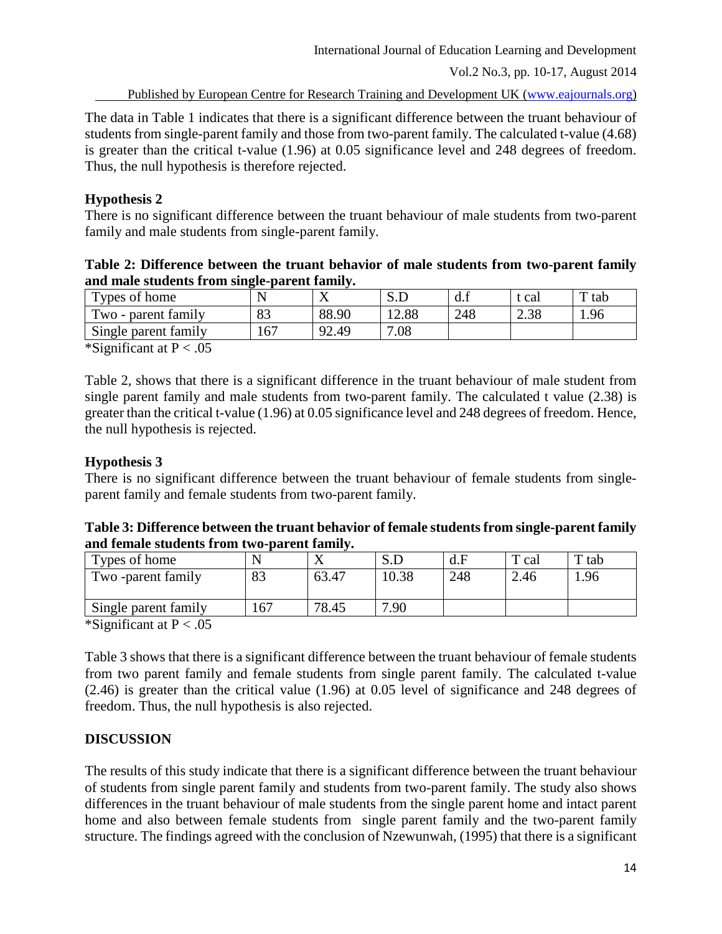Published by European Centre for Research Training and Development UK [\(www.eajournals.org\)](http://www.eajournals.org/)

The data in Table 1 indicates that there is a significant difference between the truant behaviour of students from single-parent family and those from two-parent family. The calculated t-value (4.68) is greater than the critical t-value (1.96) at 0.05 significance level and 248 degrees of freedom. Thus, the null hypothesis is therefore rejected.

### **Hypothesis 2**

There is no significant difference between the truant behaviour of male students from two-parent family and male students from single-parent family.

### **Table 2: Difference between the truant behavior of male students from two-parent family and male students from single-parent family.**

| Types of home        |     | $\mathbf{x}$<br>77              | $\mathbf r$<br>ىل د | u.i | cal        | T tab |
|----------------------|-----|---------------------------------|---------------------|-----|------------|-------|
| Two - parent family  | 83  | 88.90                           | 2.88                | 248 | 20<br>2.30 | 1.96  |
| Single parent family | 167 | Q <sub>2</sub><br><i>1</i> 2.49 | 0.08                |     |            |       |

\*Significant at  $P < .05$ 

Table 2, shows that there is a significant difference in the truant behaviour of male student from single parent family and male students from two-parent family. The calculated t value (2.38) is greater than the critical t-value (1.96) at 0.05 significance level and 248 degrees of freedom. Hence, the null hypothesis is rejected.

### **Hypothesis 3**

There is no significant difference between the truant behaviour of female students from singleparent family and female students from two-parent family.

### **Table 3: Difference between the truant behavior of female students from single-parent family and female students from two-parent family.**

| Types of home        |                |       |       | d.F | m<br>cal | T tab |
|----------------------|----------------|-------|-------|-----|----------|-------|
| Two -parent family   | $\circ$<br>OJ. | 63.47 | 10.38 | 248 | 2.46     | 1.96  |
| Single parent family | .67            | 78.45 | 7.90  |     |          |       |

\*Significant at  $P < .05$ 

Table 3 shows that there is a significant difference between the truant behaviour of female students from two parent family and female students from single parent family. The calculated t-value (2.46) is greater than the critical value (1.96) at 0.05 level of significance and 248 degrees of freedom. Thus, the null hypothesis is also rejected.

# **DISCUSSION**

The results of this study indicate that there is a significant difference between the truant behaviour of students from single parent family and students from two-parent family. The study also shows differences in the truant behaviour of male students from the single parent home and intact parent home and also between female students from single parent family and the two-parent family structure. The findings agreed with the conclusion of Nzewunwah, (1995) that there is a significant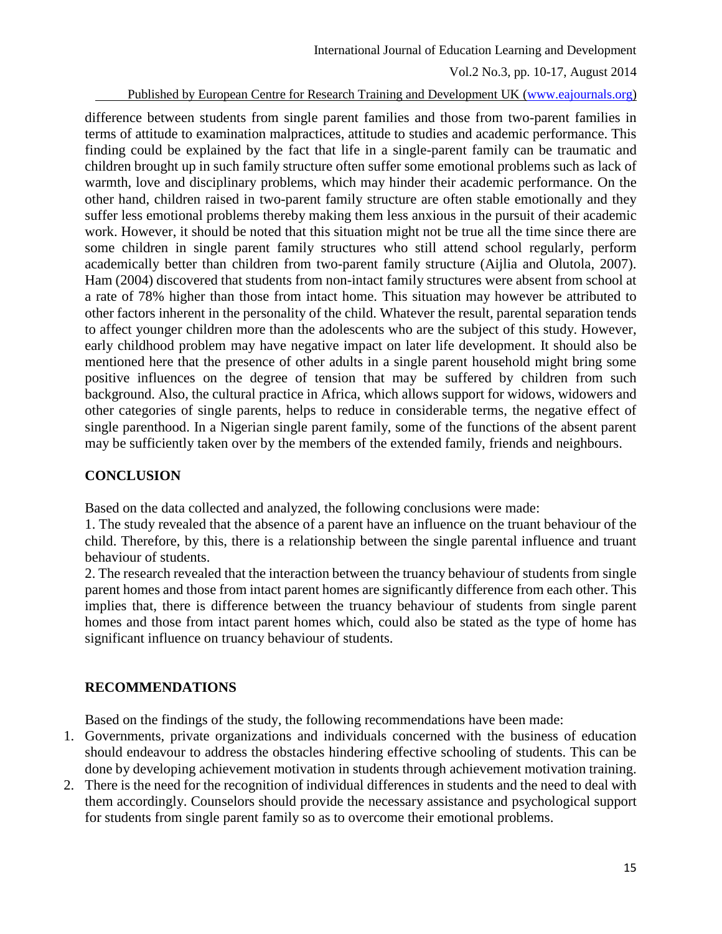Published by European Centre for Research Training and Development UK [\(www.eajournals.org\)](http://www.eajournals.org/)

difference between students from single parent families and those from two-parent families in terms of attitude to examination malpractices, attitude to studies and academic performance. This finding could be explained by the fact that life in a single-parent family can be traumatic and children brought up in such family structure often suffer some emotional problems such as lack of warmth, love and disciplinary problems, which may hinder their academic performance. On the other hand, children raised in two-parent family structure are often stable emotionally and they suffer less emotional problems thereby making them less anxious in the pursuit of their academic work. However, it should be noted that this situation might not be true all the time since there are some children in single parent family structures who still attend school regularly, perform academically better than children from two-parent family structure (Aijlia and Olutola, 2007). Ham (2004) discovered that students from non-intact family structures were absent from school at a rate of 78% higher than those from intact home. This situation may however be attributed to other factors inherent in the personality of the child. Whatever the result, parental separation tends to affect younger children more than the adolescents who are the subject of this study. However, early childhood problem may have negative impact on later life development. It should also be mentioned here that the presence of other adults in a single parent household might bring some positive influences on the degree of tension that may be suffered by children from such background. Also, the cultural practice in Africa, which allows support for widows, widowers and other categories of single parents, helps to reduce in considerable terms, the negative effect of single parenthood. In a Nigerian single parent family, some of the functions of the absent parent may be sufficiently taken over by the members of the extended family, friends and neighbours.

# **CONCLUSION**

Based on the data collected and analyzed, the following conclusions were made:

1. The study revealed that the absence of a parent have an influence on the truant behaviour of the child. Therefore, by this, there is a relationship between the single parental influence and truant behaviour of students.

2. The research revealed that the interaction between the truancy behaviour of students from single parent homes and those from intact parent homes are significantly difference from each other. This implies that, there is difference between the truancy behaviour of students from single parent homes and those from intact parent homes which, could also be stated as the type of home has significant influence on truancy behaviour of students.

# **RECOMMENDATIONS**

Based on the findings of the study, the following recommendations have been made:

- 1. Governments, private organizations and individuals concerned with the business of education should endeavour to address the obstacles hindering effective schooling of students. This can be done by developing achievement motivation in students through achievement motivation training.
- 2. There is the need for the recognition of individual differences in students and the need to deal with them accordingly. Counselors should provide the necessary assistance and psychological support for students from single parent family so as to overcome their emotional problems.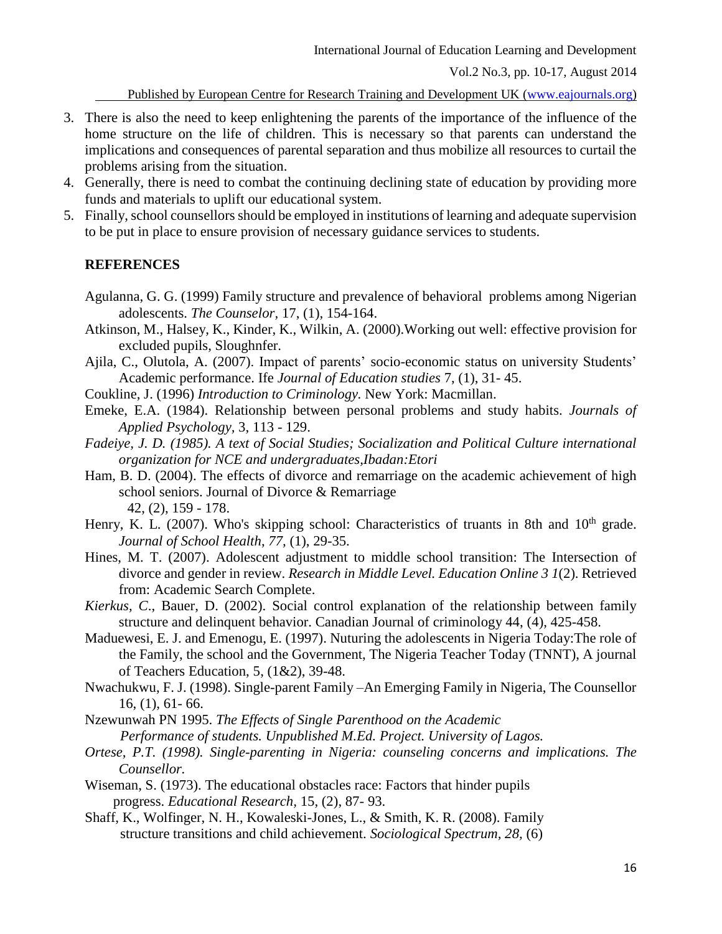Published by European Centre for Research Training and Development UK [\(www.eajournals.org\)](http://www.eajournals.org/)

- 3. There is also the need to keep enlightening the parents of the importance of the influence of the home structure on the life of children. This is necessary so that parents can understand the implications and consequences of parental separation and thus mobilize all resources to curtail the problems arising from the situation.
- 4. Generally, there is need to combat the continuing declining state of education by providing more funds and materials to uplift our educational system.
- 5. Finally, school counsellors should be employed in institutions of learning and adequate supervision to be put in place to ensure provision of necessary guidance services to students.

#### **REFERENCES**

- Agulanna, G. G. (1999) Family structure and prevalence of behavioral problems among Nigerian adolescents. *The Counselor,* 17, (1), 154-164.
- Atkinson, M., Halsey, K., Kinder, K., Wilkin, A. (2000).Working out well: effective provision for excluded pupils, Sloughnfer.
- Ajila, C., Olutola, A. (2007). Impact of parents' socio-economic status on university Students' Academic performance. Ife *Journal of Education studies* 7, (1), 31- 45.
- Coukline, J. (1996) *Introduction to Criminology.* New York: Macmillan.
- Emeke, E.A. (1984). Relationship between personal problems and study habits. *Journals of Applied Psychology,* 3, 113 - 129.
- *Fadeiye, J. D. (1985). A text of Social Studies; Socialization and Political Culture international organization for NCE and undergraduates,Ibadan:Etori*
- Ham, B. D. (2004). The effects of divorce and remarriage on the academic achievement of high school seniors. Journal of Divorce & Remarriage 42, (2), 159 - 178.
- Henry, K. L. (2007). Who's skipping school: Characteristics of truants in 8th and  $10<sup>th</sup>$  grade. *Journal of School Health*, *77,* (1), 29-35.
- Hines, M. T. (2007). Adolescent adjustment to middle school transition: The Intersection of divorce and gender in review. *Research in Middle Level. Education Online 3 1*(2). Retrieved from: Academic Search Complete.
- *Kierkus, C*., Bauer, D. (2002). Social control explanation of the relationship between family structure and delinquent behavior. Canadian Journal of criminology 44, (4), 425-458.
- Maduewesi, E. J. and Emenogu, E. (1997). Nuturing the adolescents in Nigeria Today:The role of the Family, the school and the Government, The Nigeria Teacher Today (TNNT), A journal of Teachers Education, 5, (1&2), 39-48.
- Nwachukwu, F. J. (1998). Single-parent Family –An Emerging Family in Nigeria, The Counsellor 16, (1), 61- 66.
- Nzewunwah PN 1995. *The Effects of Single Parenthood on the Academic Performance of students. Unpublished M.Ed. Project. University of Lagos.*
- *Ortese, P.T. (1998). Single-parenting in Nigeria: counseling concerns and implications. The Counsellor.*
- Wiseman, S. (1973). The educational obstacles race: Factors that hinder pupils progress. *Educational Research,* 15, (2), 87- 93.
- Shaff, K., Wolfinger, N. H., Kowaleski-Jones, L., & Smith, K. R. (2008). Family structure transitions and child achievement. *Sociological Spectrum, 28,* (6)